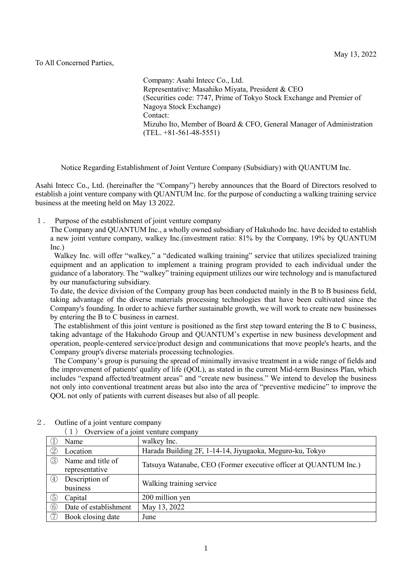## To All Concerned Parties,

Company: Asahi Intecc Co., Ltd. Representative: Masahiko Miyata, President & CEO (Securities code: 7747, Prime of Tokyo Stock Exchange and Premier of Nagoya Stock Exchange) Contact: Mizuho Ito, Member of Board & CFO, General Manager of Administration (TEL. +81-561-48-5551)

Notice Regarding Establishment of Joint Venture Company (Subsidiary) with QUANTUM Inc.

Asahi Intecc Co., Ltd. (hereinafter the "Company") hereby announces that the Board of Directors resolved to establish a joint venture company with QUANTUM Inc. for the purpose of conducting a walking training service business at the meeting held on May 13 2022.

1. Purpose of the establishment of joint venture company

The Company and QUANTUM Inc., a wholly owned subsidiary of Hakuhodo Inc. have decided to establish a new joint venture company, walkey Inc.(investment ratio: 81% by the Company, 19% by QUANTUM Inc.)

Walkey Inc. will offer "walkey," a "dedicated walking training" service that utilizes specialized training equipment and an application to implement a training program provided to each individual under the guidance of a laboratory. The "walkey" training equipment utilizes our wire technology and is manufactured by our manufacturing subsidiary.

To date, the device division of the Company group has been conducted mainly in the B to B business field, taking advantage of the diverse materials processing technologies that have been cultivated since the Company's founding. In order to achieve further sustainable growth, we will work to create new businesses by entering the B to C business in earnest.

The establishment of this joint venture is positioned as the first step toward entering the B to C business, taking advantage of the Hakuhodo Group and QUANTUM's expertise in new business development and operation, people-centered service/product design and communications that move people's hearts, and the Company group's diverse materials processing technologies.

The Company's group is pursuing the spread of minimally invasive treatment in a wide range of fields and the improvement of patients' quality of life (QOL), as stated in the current Mid-term Business Plan, which includes "expand affected/treatment areas" and "create new business." We intend to develop the business not only into conventional treatment areas but also into the area of "preventive medicine" to improve the QOL not only of patients with current diseases but also of all people.

|                 | $\sim$ , $\sim$ , $\sim$ , $\sim$ , $\sim$ , $\sim$ , $\sim$ , $\sim$ , $\sim$ , $\sim$ , $\sim$ , $\sim$ , $\sim$ , $\sim$ , $\sim$ |                                                                  |  |  |  |
|-----------------|--------------------------------------------------------------------------------------------------------------------------------------|------------------------------------------------------------------|--|--|--|
|                 | Name                                                                                                                                 | walkey Inc.                                                      |  |  |  |
| $^{\copyright}$ | Location                                                                                                                             | Harada Building 2F, 1-14-14, Jiyugaoka, Meguro-ku, Tokyo         |  |  |  |
| ③               | Name and title of<br>representative                                                                                                  | Tatsuya Watanabe, CEO (Former executive officer at QUANTUM Inc.) |  |  |  |
| (4)             | Description of<br>business                                                                                                           | Walking training service                                         |  |  |  |
| (5)             | Capital                                                                                                                              | 200 million yen                                                  |  |  |  |
| 6               | Date of establishment                                                                                                                | May 13, 2022                                                     |  |  |  |
| 7)              | Book closing date                                                                                                                    | June                                                             |  |  |  |

2. Outline of a joint venture company (1) Overview of a joint venture company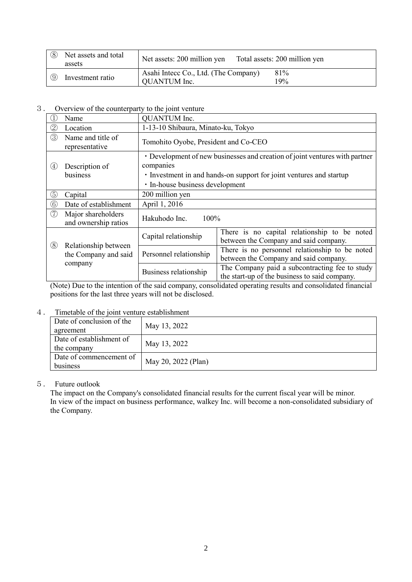| (8)      | Net assets and total<br>assets | Net assets: 200 million yen                          | Total assets: 200 million yen |
|----------|--------------------------------|------------------------------------------------------|-------------------------------|
| $\Theta$ | Investment ratio               | Asahi Intecc Co., Ltd. (The Company)<br>QUANTUM Inc. | 81%<br>$9\%$                  |

3. Overview of the counterparty to the joint venture

|                   | Name                                                    | QUANTUM Inc.                                                                                                                                                                                       |                                                                                                 |  |  |
|-------------------|---------------------------------------------------------|----------------------------------------------------------------------------------------------------------------------------------------------------------------------------------------------------|-------------------------------------------------------------------------------------------------|--|--|
| $\oslash$         | Location                                                | 1-13-10 Shibaura, Minato-ku, Tokyo                                                                                                                                                                 |                                                                                                 |  |  |
| ③                 | Name and title of<br>representative                     | Tomohito Oyobe, President and Co-CEO                                                                                                                                                               |                                                                                                 |  |  |
| $\left( 4\right)$ | Description of<br>business                              | • Development of new businesses and creation of joint ventures with partner<br>companies<br>• Investment in and hands-on support for joint ventures and startup<br>· In-house business development |                                                                                                 |  |  |
| $_{\circledS}$    | Capital                                                 | 200 million yen                                                                                                                                                                                    |                                                                                                 |  |  |
| $^\copyright$     | Date of establishment                                   | April 1, 2016                                                                                                                                                                                      |                                                                                                 |  |  |
| (7)               | Major shareholders<br>and ownership ratios              | Hakuhodo Inc.<br>100%                                                                                                                                                                              |                                                                                                 |  |  |
| $\circledS$       | Relationship between<br>the Company and said<br>company | Capital relationship                                                                                                                                                                               | There is no capital relationship to be noted<br>between the Company and said company.           |  |  |
|                   |                                                         | Personnel relationship                                                                                                                                                                             | There is no personnel relationship to be noted<br>between the Company and said company.         |  |  |
|                   |                                                         | Business relationship                                                                                                                                                                              | The Company paid a subcontracting fee to study<br>the start-up of the business to said company. |  |  |

(Note) Due to the intention of the said company, consolidated operating results and consolidated financial positions for the last three years will not be disclosed.

## 4. Timetable of the joint venture establishment

| Date of conclusion of the<br>agreement  | May 13, 2022        |
|-----------------------------------------|---------------------|
| Date of establishment of<br>the company | May 13, 2022        |
| Date of commencement of<br>business     | May 20, 2022 (Plan) |

## 5. Future outlook

The impact on the Company's consolidated financial results for the current fiscal year will be minor. In view of the impact on business performance, walkey Inc. will become a non-consolidated subsidiary of the Company.